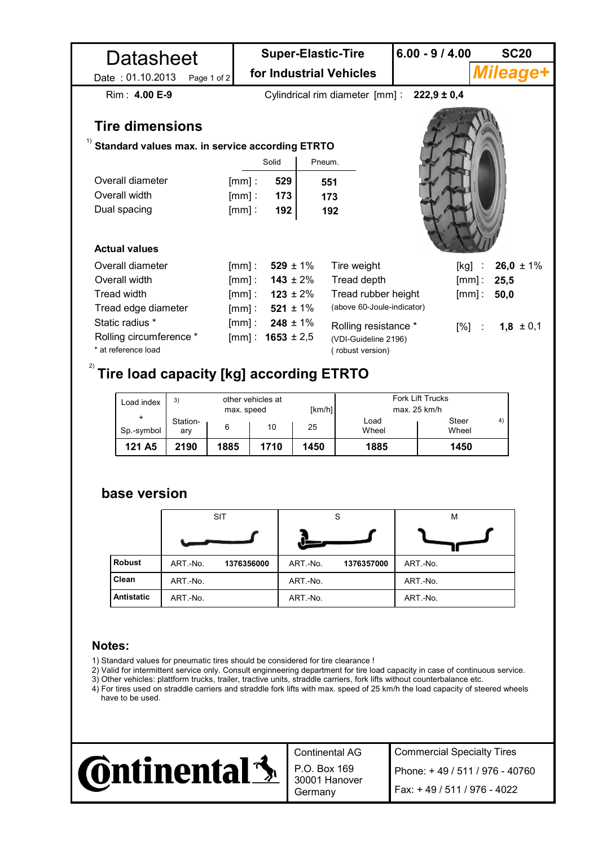| Datasheet                                       |              | <b>Super-Elastic-Tire</b><br>for Industrial Vehicles |                       |        | $6.00 - 9 / 4.00$          |                                                      | <b>SC20</b>                  |                 |  |  |  |  |  |  |
|-------------------------------------------------|--------------|------------------------------------------------------|-----------------------|--------|----------------------------|------------------------------------------------------|------------------------------|-----------------|--|--|--|--|--|--|
| Date: 01.10.2013                                | Page 1 of 2  |                                                      |                       |        |                            |                                                      |                              | <b>Mileage+</b> |  |  |  |  |  |  |
| Rim: 4.00 E-9                                   |              |                                                      |                       |        |                            | Cylindrical rim diameter $\text{[mm]}$ : 222,9 ± 0,4 |                              |                 |  |  |  |  |  |  |
| <b>Tire dimensions</b><br>1)                    |              |                                                      |                       |        |                            |                                                      |                              |                 |  |  |  |  |  |  |
| Standard values max. in service according ETRTO |              |                                                      |                       |        |                            |                                                      |                              |                 |  |  |  |  |  |  |
|                                                 |              |                                                      | Solid                 | Pneum. |                            |                                                      |                              |                 |  |  |  |  |  |  |
| Overall diameter                                |              | $[mm]$ :                                             | 529                   | 551    |                            |                                                      |                              |                 |  |  |  |  |  |  |
| Overall width                                   |              | $[mm]$ :                                             | 173                   | 173    |                            |                                                      |                              |                 |  |  |  |  |  |  |
| Dual spacing                                    |              | $[mm]$ :                                             | 192                   | 192    |                            |                                                      |                              |                 |  |  |  |  |  |  |
|                                                 |              |                                                      |                       |        |                            |                                                      |                              |                 |  |  |  |  |  |  |
| <b>Actual values</b>                            |              |                                                      |                       |        |                            |                                                      |                              |                 |  |  |  |  |  |  |
| Overall diameter                                |              | $[mm]$ :                                             | $529 \pm 1\%$         |        | Tire weight                |                                                      | [kg]<br>$\ddot{\phantom{a}}$ | 26,0 $\pm$ 1%   |  |  |  |  |  |  |
| Overall width                                   |              |                                                      | [mm]: $143 \pm 2\%$   |        | Tread depth                |                                                      | $[mm]$ :                     | 25,5            |  |  |  |  |  |  |
| <b>Tread width</b>                              |              |                                                      | [mm]: $123 \pm 2\%$   |        | Tread rubber height        |                                                      | $[mm]$ :                     | 50,0            |  |  |  |  |  |  |
| Tread edge diameter                             |              |                                                      | [mm]: $521 \pm 1\%$   |        | (above 60-Joule-indicator) |                                                      |                              |                 |  |  |  |  |  |  |
| Static radius *                                 |              | $[mm]$ :                                             | $248 \pm 1\%$         |        | Rolling resistance *       |                                                      | $[%]$ :                      | $1,8 \pm 0,1$   |  |  |  |  |  |  |
| Rolling circumference *                         |              |                                                      | [mm] : $1653 \pm 2.5$ |        | (VDI-Guideline 2196)       |                                                      |                              |                 |  |  |  |  |  |  |
| * at reference load                             |              |                                                      |                       |        | (robust version)           |                                                      |                              |                 |  |  |  |  |  |  |
| 2)<br>Tire load capacity [kg] according ETRTO   |              |                                                      |                       |        |                            |                                                      |                              |                 |  |  |  |  |  |  |
|                                                 |              |                                                      |                       |        |                            |                                                      |                              |                 |  |  |  |  |  |  |
| Load index                                      | 3)           | other vehicles at                                    |                       |        |                            | Fork Lift Trucks                                     |                              |                 |  |  |  |  |  |  |
|                                                 | Station-     | max. speed                                           |                       | [km/h] | Load                       | max. 25 km/h                                         | Steer                        | 4)              |  |  |  |  |  |  |
| Sp.-symbol                                      | 6<br>ary     |                                                      | 10                    | 25     | Wheel                      |                                                      | Wheel                        |                 |  |  |  |  |  |  |
| 121 A <sub>5</sub>                              | 1885<br>2190 |                                                      | 1710                  | 1450   | 1885                       |                                                      | 1450                         |                 |  |  |  |  |  |  |

## **base version**

|                   | <b>SIT</b> |            |          | S          | M        |  |  |
|-------------------|------------|------------|----------|------------|----------|--|--|
|                   |            |            |          |            |          |  |  |
| <b>Robust</b>     | ART.-No.   | 1376356000 | ART.-No. | 1376357000 | ART.-No. |  |  |
| Clean             | ART-No.    |            | ART.-No. |            | ART -No. |  |  |
| <b>Antistatic</b> | ART.-No.   |            | ART-No.  |            | ART.-No. |  |  |

## **Notes:**

- 1) Standard values for pneumatic tires should be considered for tire clearance !
- 2) Valid for intermittent service only. Consult enginneering department for tire load capacity in case of continuous service.
- 3) Other vehicles: plattform trucks, trailer, tractive units, straddle carriers, fork lifts without counterbalance etc.
- 4) For tires used on straddle carriers and straddle fork lifts with max. speed of 25 km/h the load capacity of steered wheels have to be used.



Continental AG P.O. Box 169 30001 Hanover

Commercial Specialty Tires Germany Fax: + 49 / 511 / 976 - 4022 Phone: + 49 / 511 / 976 - 40760